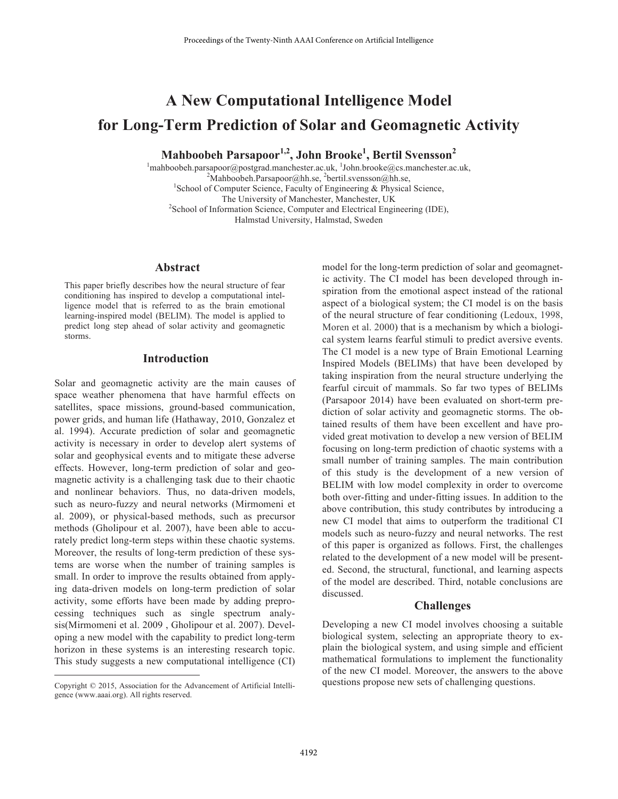# **A New Computational Intelligence Model for Long-Term Prediction of Solar and Geomagnetic Activity**

**Mahboobeh Parsapoor1,2, John Brooke1 , Bertil Svensson2** 

<sup>1</sup>mahboobeh.parsapoor@postgrad.manchester.ac.uk, <sup>1</sup>John.brooke@cs.manchester.ac.uk, <sup>2</sup>Mahboobeh.parsapoor@bb.go <sup>2</sup> Mahboobeh.Parsapoor@hh.se, <sup>2</sup>bertil.svensson@hh.se, <sup>1</sup>School of Camputar Sciences, Faculty of Engineering, & Physical <sup>1</sup>School of Computer Science, Faculty of Engineering  $\&$  Physical Science, The University of Manchester, Manchester, UK <sup>2</sup> <sup>2</sup>School of Information Science, Computer and Electrical Engineering (IDE), Halmstad University, Halmstad, Sweden

## **Abstract**

This paper briefly describes how the neural structure of fear conditioning has inspired to develop a computational intelligence model that is referred to as the brain emotional learning-inspired model (BELIM). The model is applied to predict long step ahead of solar activity and geomagnetic storms.

### **Introduction**

Solar and geomagnetic activity are the main causes of space weather phenomena that have harmful effects on satellites, space missions, ground-based communication, power grids, and human life (Hathaway, 2010, Gonzalez et al. 1994). Accurate prediction of solar and geomagnetic activity is necessary in order to develop alert systems of solar and geophysical events and to mitigate these adverse effects. However, long-term prediction of solar and geomagnetic activity is a challenging task due to their chaotic and nonlinear behaviors. Thus, no data-driven models, such as neuro-fuzzy and neural networks (Mirmomeni et al. 2009), or physical-based methods, such as precursor methods (Gholipour et al. 2007), have been able to accurately predict long-term steps within these chaotic systems. Moreover, the results of long-term prediction of these systems are worse when the number of training samples is small. In order to improve the results obtained from applying data-driven models on long-term prediction of solar activity, some efforts have been made by adding preprocessing techniques such as single spectrum analysis(Mirmomeni et al. 2009 , Gholipour et al. 2007). Developing a new model with the capability to predict long-term horizon in these systems is an interesting research topic. This study suggests a new computational intelligence (CI)

 $\overline{a}$ 

model for the long-term prediction of solar and geomagnetic activity. The CI model has been developed through inspiration from the emotional aspect instead of the rational aspect of a biological system; the CI model is on the basis of the neural structure of fear conditioning (Ledoux, 1998, Moren et al. 2000) that is a mechanism by which a biological system learns fearful stimuli to predict aversive events. The CI model is a new type of Brain Emotional Learning Inspired Models (BELIMs) that have been developed by taking inspiration from the neural structure underlying the fearful circuit of mammals. So far two types of BELIMs (Parsapoor 2014) have been evaluated on short-term prediction of solar activity and geomagnetic storms. The obtained results of them have been excellent and have provided great motivation to develop a new version of BELIM focusing on long-term prediction of chaotic systems with a small number of training samples. The main contribution of this study is the development of a new version of BELIM with low model complexity in order to overcome both over-fitting and under-fitting issues. In addition to the above contribution, this study contributes by introducing a new CI model that aims to outperform the traditional CI models such as neuro-fuzzy and neural networks. The rest of this paper is organized as follows. First, the challenges related to the development of a new model will be presented. Second, the structural, functional, and learning aspects of the model are described. Third, notable conclusions are discussed.

# **Challenges**

Developing a new CI model involves choosing a suitable biological system, selecting an appropriate theory to explain the biological system, and using simple and efficient mathematical formulations to implement the functionality of the new CI model. Moreover, the answers to the above questions propose new sets of challenging questions.

Copyright © 2015, Association for the Advancement of Artificial Intelligence (www.aaai.org). All rights reserved.